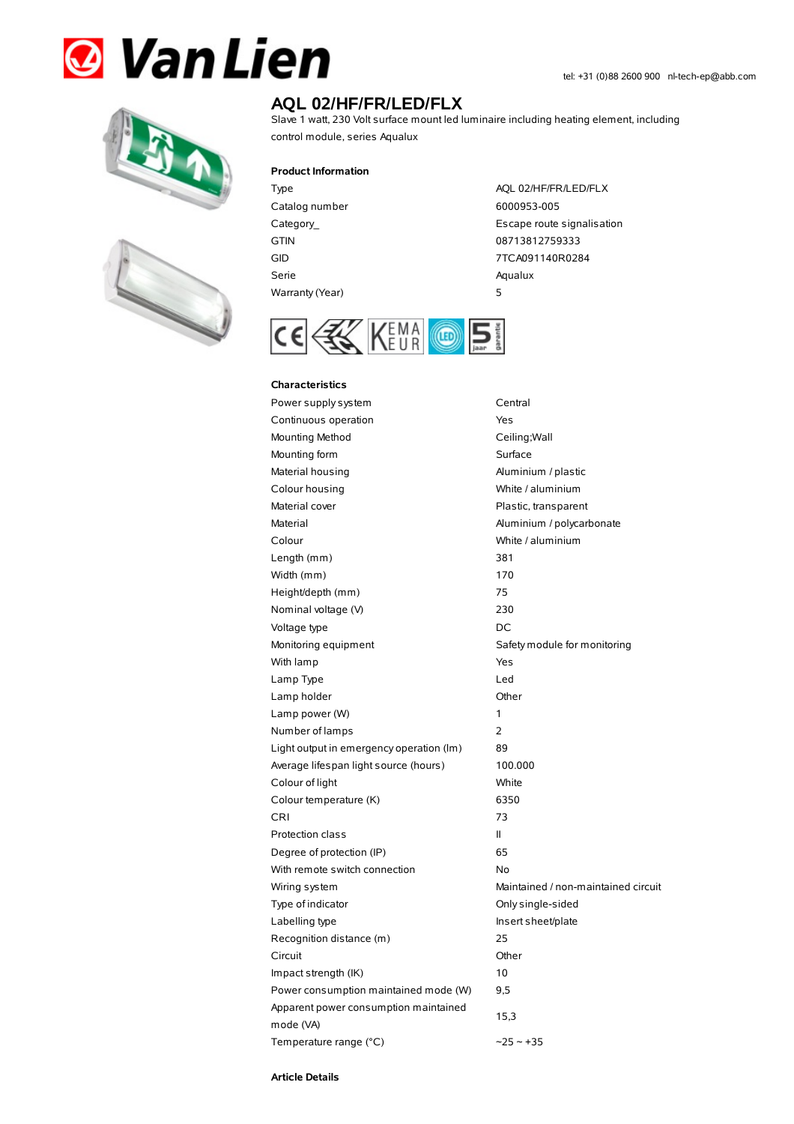# **& Van Lien**





# **AQL 02/HF/FR/LED/FLX**

Slave 1 watt, 230 Volt surface mount led luminaire including heating element, including control module, series Aqualux

### **Product Information**

Catalog number 6000953-005 Serie Aqualux Warranty(Year) 5

Type AQL 02/HF/FR/LED/FLX Category\_ **Escape route signalisation** GTIN 08713812759333 GID 7TCA091140R0284



#### **Characteristics**

Power supply system Central Continuous operation The Continuous operation Mounting Method **Ceiling**; Wall Mounting form Surface Material housing **Aluminium / plastic** Colour housing White / aluminium Material cover **Plastic, transparent** Material Material Aluminium / polycarbonate Colour White / aluminium Length (mm) 381 Width (mm) 170 Height/depth (mm) 75 Nominal voltage (V) 230 Voltage type DC Monitoring equipment Safety module for monitoring With lamp Yes Lamp Type Led Lamp holder Channel Channel Channel Channel Channel Channel Channel Channel Channel Channel Channel Channel Channel Channel Channel Channel Channel Channel Channel Channel Channel Channel Channel Channel Channel Channel Ch Lamp power (W) 1 Number of lamps 2 Light output in emergency operation (lm) 89 Average lifespan light source (hours) 100.000 Colour of light White Colour temperature (K) 6350 CRI 73 Protection class II Degree of protection (IP) 65 With remote switch connection No Wiring system **Maintained / non-maintained circuit** Type of indicator Christian Conlysingle-sided Labelling type **Insert sheet/plate** Recognition distance (m) 25 Circuit Other Impact strength (IK) 10 Power consumption maintained mode (W) 9,5 Apparent power consumption maintained mode (VA) 15,3 Temperature range (°C)  $\sim$  25  $\sim$  +35